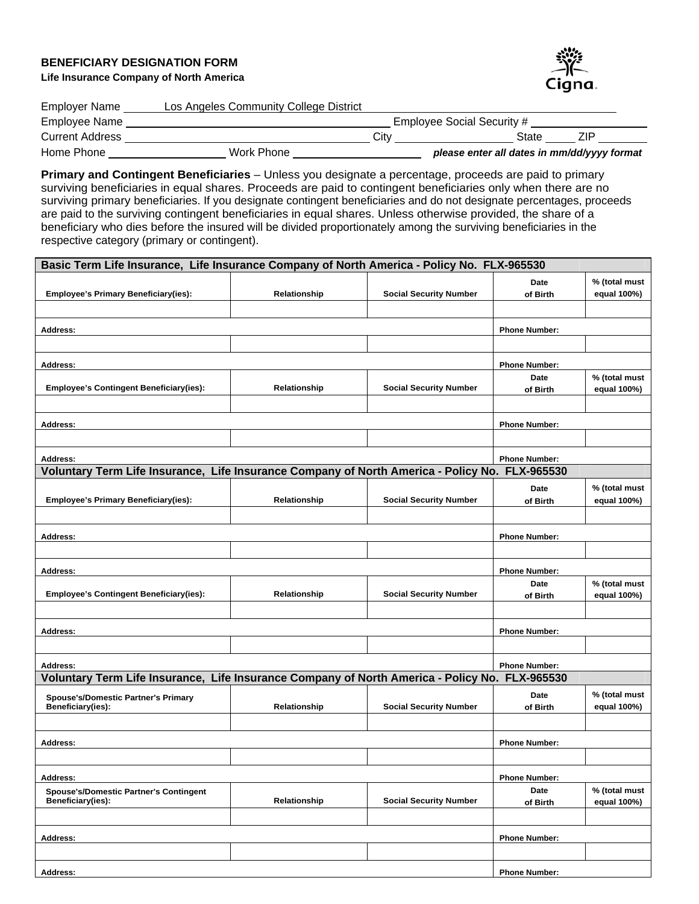## **BENEFICIARY DESIGNATION FORM Life Insurance Company of North America**



| <b>Employer Name</b>   | Los Angeles Community College District |                            |                                             |  |  |  |
|------------------------|----------------------------------------|----------------------------|---------------------------------------------|--|--|--|
| Employee Name          |                                        | Employee Social Security # |                                             |  |  |  |
| <b>Current Address</b> |                                        | Citv                       | State<br>7IP                                |  |  |  |
| Home Phone             | Work Phone                             |                            | please enter all dates in mm/dd/yyyy format |  |  |  |

**Primary and Contingent Beneficiaries** – Unless you designate a percentage, proceeds are paid to primary surviving beneficiaries in equal shares. Proceeds are paid to contingent beneficiaries only when there are no surviving primary beneficiaries. If you designate contingent beneficiaries and do not designate percentages, proceeds are paid to the surviving contingent beneficiaries in equal shares. Unless otherwise provided, the share of a beneficiary who dies before the insured will be divided proportionately among the surviving beneficiaries in the respective category (primary or contingent).

| Basic Term Life Insurance, Life Insurance Company of North America - Policy No. FLX-965530     |                      |                               |                      |                              |
|------------------------------------------------------------------------------------------------|----------------------|-------------------------------|----------------------|------------------------------|
|                                                                                                |                      |                               | Date                 | % (total must                |
| <b>Employee's Primary Beneficiary(ies):</b>                                                    | Relationship         | <b>Social Security Number</b> | of Birth             | equal 100%)                  |
|                                                                                                |                      |                               |                      |                              |
| <b>Address:</b>                                                                                | <b>Phone Number:</b> |                               |                      |                              |
|                                                                                                |                      |                               |                      |                              |
| <b>Address:</b>                                                                                |                      |                               | <b>Phone Number:</b> |                              |
|                                                                                                |                      |                               | <b>Date</b>          | % (total must                |
| <b>Employee's Contingent Beneficiary(ies):</b>                                                 | Relationship         | <b>Social Security Number</b> | of Birth             | equal 100%)                  |
|                                                                                                |                      |                               |                      |                              |
| Address:                                                                                       |                      |                               | <b>Phone Number:</b> |                              |
|                                                                                                |                      |                               |                      |                              |
| <b>Address:</b>                                                                                |                      |                               | <b>Phone Number:</b> |                              |
| Voluntary Term Life Insurance, Life Insurance Company of North America - Policy No. FLX-965530 |                      |                               |                      |                              |
|                                                                                                |                      |                               | Date                 | % (total must                |
| <b>Employee's Primary Beneficiary(ies):</b>                                                    | Relationship         | <b>Social Security Number</b> | of Birth             | equal 100%)                  |
|                                                                                                |                      |                               |                      |                              |
| <b>Address:</b>                                                                                |                      |                               | <b>Phone Number:</b> |                              |
|                                                                                                |                      |                               |                      |                              |
| <b>Address:</b>                                                                                |                      |                               | <b>Phone Number:</b> |                              |
|                                                                                                |                      |                               | Date                 | % (total must                |
| <b>Employee's Contingent Beneficiary(ies):</b>                                                 | Relationship         | <b>Social Security Number</b> | of Birth             | equal 100%)                  |
|                                                                                                |                      |                               |                      |                              |
| Address:                                                                                       |                      |                               | <b>Phone Number:</b> |                              |
|                                                                                                |                      |                               |                      |                              |
| <b>Address:</b>                                                                                |                      |                               | <b>Phone Number:</b> |                              |
| Voluntary Term Life Insurance, Life Insurance Company of North America - Policy No.            |                      |                               | FLX-965530           |                              |
| <b>Spouse's/Domestic Partner's Primary</b>                                                     |                      |                               | Date                 | % (total must                |
| Beneficiary(ies):                                                                              | Relationship         | <b>Social Security Number</b> | of Birth             | equal 100%)                  |
|                                                                                                |                      |                               |                      |                              |
| <b>Address:</b>                                                                                |                      |                               | <b>Phone Number:</b> |                              |
|                                                                                                |                      |                               |                      |                              |
| Address:                                                                                       |                      |                               | <b>Phone Number:</b> |                              |
| <b>Spouse's/Domestic Partner's Contingent</b><br>Beneficiary(ies):                             | Relationship         | <b>Social Security Number</b> | Date<br>of Birth     | % (total must<br>equal 100%) |
|                                                                                                |                      |                               |                      |                              |
|                                                                                                |                      |                               |                      |                              |
| Address:                                                                                       |                      |                               | <b>Phone Number:</b> |                              |
|                                                                                                |                      |                               |                      |                              |
| <b>Address:</b>                                                                                |                      |                               | <b>Phone Number:</b> |                              |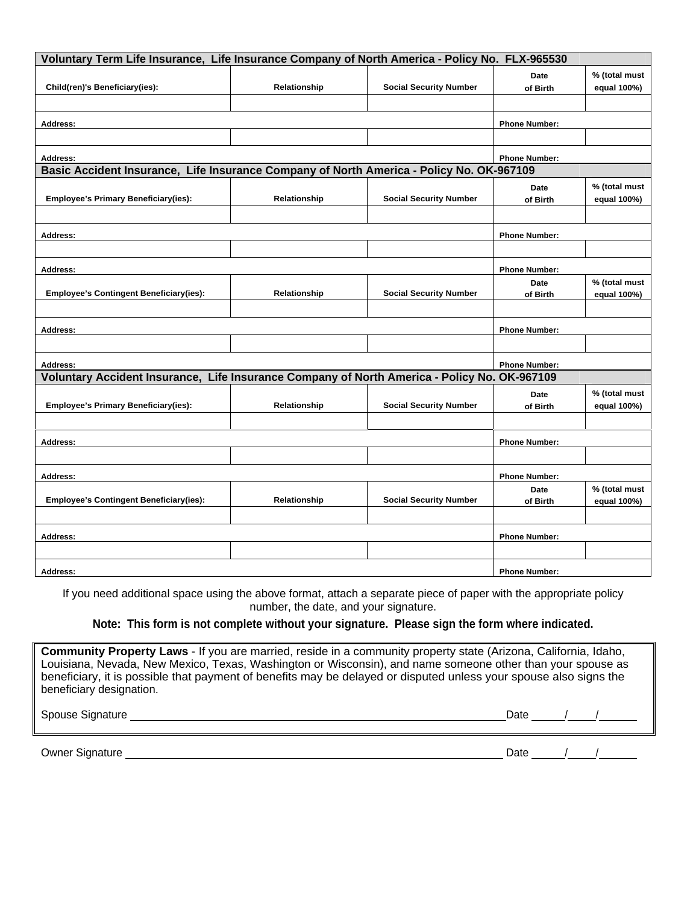| Voluntary Term Life Insurance, Life Insurance Company of North America - Policy No. FLX-965530 |                      |                               |                      |               |  |  |  |  |
|------------------------------------------------------------------------------------------------|----------------------|-------------------------------|----------------------|---------------|--|--|--|--|
|                                                                                                |                      |                               | <b>Date</b>          | % (total must |  |  |  |  |
| Child(ren)'s Beneficiary(ies):                                                                 | Relationship         | <b>Social Security Number</b> | of Birth             | equal 100%)   |  |  |  |  |
|                                                                                                |                      |                               |                      |               |  |  |  |  |
| Address:                                                                                       | <b>Phone Number:</b> |                               |                      |               |  |  |  |  |
|                                                                                                |                      |                               |                      |               |  |  |  |  |
| Address:                                                                                       |                      |                               | <b>Phone Number:</b> |               |  |  |  |  |
| Basic Accident Insurance, Life Insurance Company of North America - Policy No. OK-967109       |                      |                               |                      |               |  |  |  |  |
|                                                                                                |                      |                               | <b>Date</b>          | % (total must |  |  |  |  |
| <b>Employee's Primary Beneficiary(ies):</b>                                                    | Relationship         | <b>Social Security Number</b> | of Birth             | equal 100%)   |  |  |  |  |
|                                                                                                |                      |                               |                      |               |  |  |  |  |
| <b>Address:</b>                                                                                |                      |                               | <b>Phone Number:</b> |               |  |  |  |  |
|                                                                                                |                      |                               |                      |               |  |  |  |  |
| Address:                                                                                       |                      |                               | <b>Phone Number:</b> |               |  |  |  |  |
|                                                                                                |                      |                               | <b>Date</b>          | % (total must |  |  |  |  |
| <b>Employee's Contingent Beneficiary(ies):</b>                                                 | Relationship         | <b>Social Security Number</b> | of Birth             | equal 100%)   |  |  |  |  |
|                                                                                                |                      |                               |                      |               |  |  |  |  |
| Address:                                                                                       |                      |                               | <b>Phone Number:</b> |               |  |  |  |  |
|                                                                                                |                      |                               |                      |               |  |  |  |  |
| Address:                                                                                       |                      |                               | <b>Phone Number:</b> |               |  |  |  |  |
| Voluntary Accident Insurance, Life Insurance Company of North America - Policy No. OK-967109   |                      |                               |                      |               |  |  |  |  |
|                                                                                                |                      |                               | <b>Date</b>          | % (total must |  |  |  |  |
| <b>Employee's Primary Beneficiary(ies):</b>                                                    | Relationship         | <b>Social Security Number</b> | of Birth             | equal 100%)   |  |  |  |  |
|                                                                                                |                      |                               |                      |               |  |  |  |  |
| Address:                                                                                       | <b>Phone Number:</b> |                               |                      |               |  |  |  |  |
|                                                                                                |                      |                               |                      |               |  |  |  |  |
| Address:                                                                                       | <b>Phone Number:</b> |                               |                      |               |  |  |  |  |
|                                                                                                |                      |                               | <b>Date</b>          | % (total must |  |  |  |  |
| <b>Employee's Contingent Beneficiary(ies):</b>                                                 | Relationship         | <b>Social Security Number</b> | of Birth             | equal 100%)   |  |  |  |  |
|                                                                                                |                      |                               |                      |               |  |  |  |  |
| Address:                                                                                       | <b>Phone Number:</b> |                               |                      |               |  |  |  |  |
|                                                                                                |                      |                               |                      |               |  |  |  |  |
| Address:                                                                                       |                      |                               | <b>Phone Number:</b> |               |  |  |  |  |

If you need additional space using the above format, attach a separate piece of paper with the appropriate policy number, the date, and your signature.

**Note: This form is not complete without your signature. Please sign the form where indicated.**

**Community Property Laws** - If you are married, reside in a community property state (Arizona, California, Idaho, Louisiana, Nevada, New Mexico, Texas, Washington or Wisconsin), and name someone other than your spouse as beneficiary, it is possible that payment of benefits may be delayed or disputed unless your spouse also signs the beneficiary designation.

Spouse Signature  $\frac{1}{2}$  /  $\frac{1}{2}$  /  $\frac{1}{2}$  /  $\frac{1}{2}$  /  $\frac{1}{2}$  /  $\frac{1}{2}$  /  $\frac{1}{2}$  /  $\frac{1}{2}$  /  $\frac{1}{2}$  /  $\frac{1}{2}$  /  $\frac{1}{2}$  /  $\frac{1}{2}$  /  $\frac{1}{2}$  /  $\frac{1}{2}$  /  $\frac{1}{2}$  /  $\frac{1}{2}$  /  $\frac{1}{2}$  /

Owner Signature **Date 19th Contract Contract Contract Contract Contract Contract Contract Contract Contract Contract Contract Contract Contract Contract Contract Contract Contract Contract Contract Contract Contract Contra**